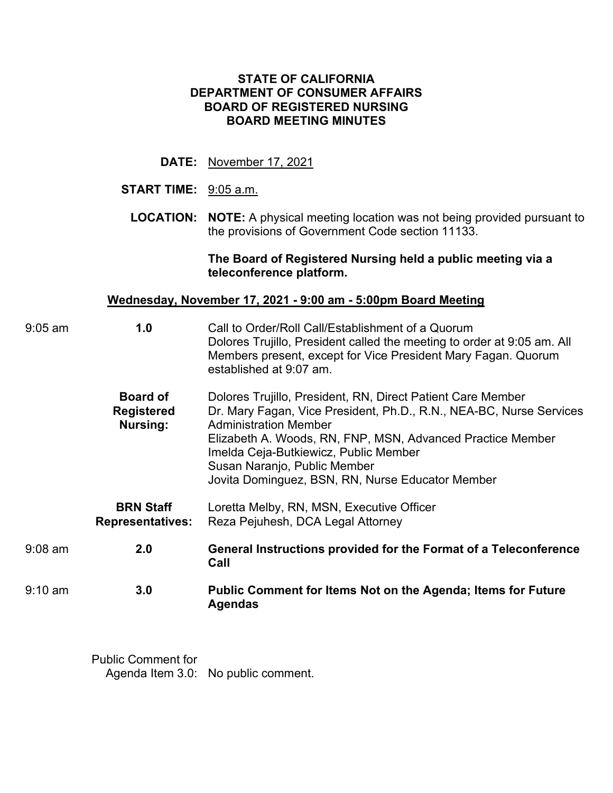### **STATE OF CALIFORNIA DEPARTMENT OF CONSUMER AFFAIRS BOARD OF REGISTERED NURSING BOARD MEETING MINUTES**

**DATE:** November 17, 2021

# **START TIME:** 9:05 a.m.

**LOCATION: NOTE:** A physical meeting location was not being provided pursuant to the provisions of Government Code section 11133.

## **The Board of Registered Nursing held a public meeting via a teleconference platform.**

# **Wednesday, November 17, 2021 - 9:00 am - 5:00pm Board Meeting**

| $9:05$ am         | 1.0                                              | Call to Order/Roll Call/Establishment of a Quorum<br>Dolores Trujillo, President called the meeting to order at 9:05 am. All<br>Members present, except for Vice President Mary Fagan. Quorum<br>established at 9:07 am.                                                                                                                                      |
|-------------------|--------------------------------------------------|---------------------------------------------------------------------------------------------------------------------------------------------------------------------------------------------------------------------------------------------------------------------------------------------------------------------------------------------------------------|
|                   | <b>Board of</b><br><b>Registered</b><br>Nursing: | Dolores Trujillo, President, RN, Direct Patient Care Member<br>Dr. Mary Fagan, Vice President, Ph.D., R.N., NEA-BC, Nurse Services<br><b>Administration Member</b><br>Elizabeth A. Woods, RN, FNP, MSN, Advanced Practice Member<br>Imelda Ceja-Butkiewicz, Public Member<br>Susan Naranjo, Public Member<br>Jovita Dominguez, BSN, RN, Nurse Educator Member |
|                   | <b>BRN Staff</b><br><b>Representatives:</b>      | Loretta Melby, RN, MSN, Executive Officer<br>Reza Pejuhesh, DCA Legal Attorney                                                                                                                                                                                                                                                                                |
| $9:08$ am         | 2.0                                              | General Instructions provided for the Format of a Teleconference<br>Call                                                                                                                                                                                                                                                                                      |
| $9:10 \text{ am}$ | 3.0                                              | Public Comment for Items Not on the Agenda; Items for Future<br><b>Agendas</b>                                                                                                                                                                                                                                                                                |

Public Comment for Agenda Item 3.0: No public comment.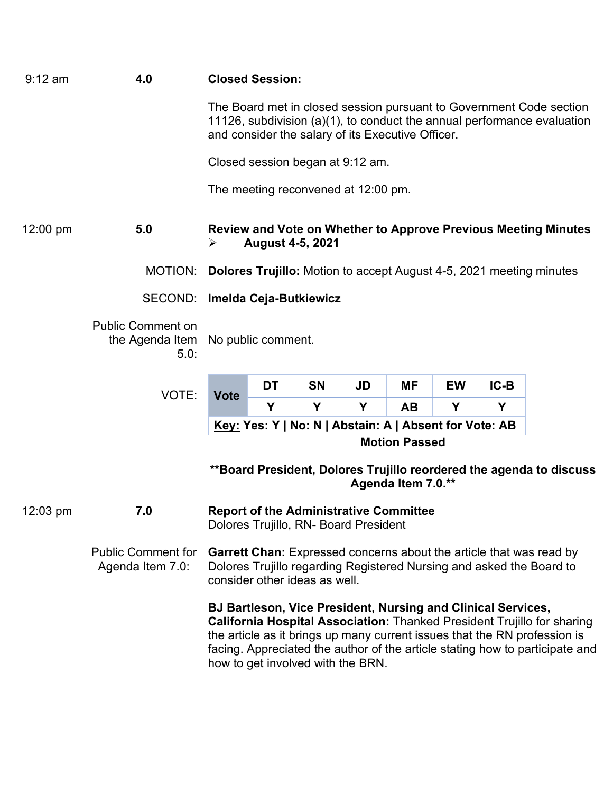| $9:12$ am          | 4.0                                                                         |                                    | <b>Closed Session:</b>  |                                                                                                   |    |                      |    |        |                                                                                                                                                                                                                                             |
|--------------------|-----------------------------------------------------------------------------|------------------------------------|-------------------------|---------------------------------------------------------------------------------------------------|----|----------------------|----|--------|---------------------------------------------------------------------------------------------------------------------------------------------------------------------------------------------------------------------------------------------|
|                    |                                                                             |                                    |                         | and consider the salary of its Executive Officer.                                                 |    |                      |    |        | The Board met in closed session pursuant to Government Code section<br>11126, subdivision (a)(1), to conduct the annual performance evaluation                                                                                              |
|                    |                                                                             |                                    |                         | Closed session began at 9:12 am.                                                                  |    |                      |    |        |                                                                                                                                                                                                                                             |
|                    |                                                                             |                                    |                         | The meeting reconvened at 12:00 pm.                                                               |    |                      |    |        |                                                                                                                                                                                                                                             |
| $12:00 \text{ pm}$ | 5.0                                                                         | ➤                                  | <b>August 4-5, 2021</b> |                                                                                                   |    |                      |    |        | <b>Review and Vote on Whether to Approve Previous Meeting Minutes</b>                                                                                                                                                                       |
|                    | MOTION: Dolores Trujillo: Motion to accept August 4-5, 2021 meeting minutes |                                    |                         |                                                                                                   |    |                      |    |        |                                                                                                                                                                                                                                             |
|                    | SECOND: Imelda Ceja-Butkiewicz                                              |                                    |                         |                                                                                                   |    |                      |    |        |                                                                                                                                                                                                                                             |
|                    | <b>Public Comment on</b><br>5.0:                                            | the Agenda Item No public comment. |                         |                                                                                                   |    |                      |    |        |                                                                                                                                                                                                                                             |
|                    | VOTE:                                                                       | <b>Vote</b>                        | DT                      | <b>SN</b>                                                                                         | JD | MF                   | EW | $IC-B$ |                                                                                                                                                                                                                                             |
|                    |                                                                             |                                    | Y                       | Y<br>Key: Yes: Y   No: N   Abstain: A   Absent for Vote: AB                                       | Y  | <b>AB</b>            | Υ  | Υ      |                                                                                                                                                                                                                                             |
|                    |                                                                             |                                    |                         |                                                                                                   |    | <b>Motion Passed</b> |    |        |                                                                                                                                                                                                                                             |
|                    |                                                                             |                                    |                         |                                                                                                   |    | Agenda Item 7.0.**   |    |        | **Board President, Dolores Trujillo reordered the agenda to discuss                                                                                                                                                                         |
| $12:03 \text{ pm}$ | 7.0                                                                         |                                    |                         | <b>Report of the Administrative Committee</b><br>Dolores Trujillo, RN- Board President            |    |                      |    |        |                                                                                                                                                                                                                                             |
|                    | <b>Public Comment for</b><br>Agenda Item 7.0:                               |                                    |                         | consider other ideas as well.                                                                     |    |                      |    |        | <b>Garrett Chan:</b> Expressed concerns about the article that was read by<br>Dolores Trujillo regarding Registered Nursing and asked the Board to                                                                                          |
|                    |                                                                             |                                    |                         | BJ Bartleson, Vice President, Nursing and Clinical Services,<br>how to get involved with the BRN. |    |                      |    |        | <b>California Hospital Association: Thanked President Trujillo for sharing</b><br>the article as it brings up many current issues that the RN profession is<br>facing. Appreciated the author of the article stating how to participate and |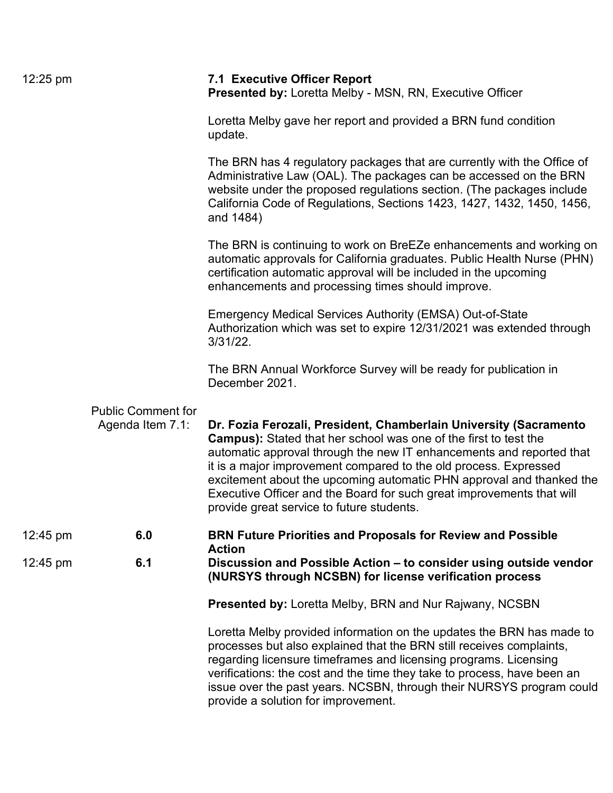| $12:25 \text{ pm}$ |                                               | <b>7.1 Executive Officer Report</b><br><b>Presented by: Loretta Melby - MSN, RN, Executive Officer</b>                                                                                                                                                                                                                                                                                                                                                                                 |
|--------------------|-----------------------------------------------|----------------------------------------------------------------------------------------------------------------------------------------------------------------------------------------------------------------------------------------------------------------------------------------------------------------------------------------------------------------------------------------------------------------------------------------------------------------------------------------|
|                    |                                               | Loretta Melby gave her report and provided a BRN fund condition<br>update.                                                                                                                                                                                                                                                                                                                                                                                                             |
|                    |                                               | The BRN has 4 regulatory packages that are currently with the Office of<br>Administrative Law (OAL). The packages can be accessed on the BRN<br>website under the proposed regulations section. (The packages include<br>California Code of Regulations, Sections 1423, 1427, 1432, 1450, 1456,<br>and 1484)                                                                                                                                                                           |
|                    |                                               | The BRN is continuing to work on BreEZe enhancements and working on<br>automatic approvals for California graduates. Public Health Nurse (PHN)<br>certification automatic approval will be included in the upcoming<br>enhancements and processing times should improve.                                                                                                                                                                                                               |
|                    |                                               | Emergency Medical Services Authority (EMSA) Out-of-State<br>Authorization which was set to expire 12/31/2021 was extended through<br>$3/31/22$ .                                                                                                                                                                                                                                                                                                                                       |
|                    |                                               | The BRN Annual Workforce Survey will be ready for publication in<br>December 2021.                                                                                                                                                                                                                                                                                                                                                                                                     |
|                    | <b>Public Comment for</b><br>Agenda Item 7.1: | Dr. Fozia Ferozali, President, Chamberlain University (Sacramento<br><b>Campus):</b> Stated that her school was one of the first to test the<br>automatic approval through the new IT enhancements and reported that<br>it is a major improvement compared to the old process. Expressed<br>excitement about the upcoming automatic PHN approval and thanked the<br>Executive Officer and the Board for such great improvements that will<br>provide great service to future students. |
| $12:45 \text{ pm}$ | 6.0                                           | <b>BRN Future Priorities and Proposals for Review and Possible</b>                                                                                                                                                                                                                                                                                                                                                                                                                     |
| $12:45 \text{ pm}$ | 6.1                                           | <b>Action</b><br>Discussion and Possible Action - to consider using outside vendor<br>(NURSYS through NCSBN) for license verification process                                                                                                                                                                                                                                                                                                                                          |
|                    |                                               | <b>Presented by: Loretta Melby, BRN and Nur Rajwany, NCSBN</b>                                                                                                                                                                                                                                                                                                                                                                                                                         |
|                    |                                               | Loretta Melby provided information on the updates the BRN has made to<br>processes but also explained that the BRN still receives complaints,<br>regarding licensure timeframes and licensing programs. Licensing<br>verifications: the cost and the time they take to process, have been an<br>issue over the past years. NCSBN, through their NURSYS program could<br>provide a solution for improvement.                                                                            |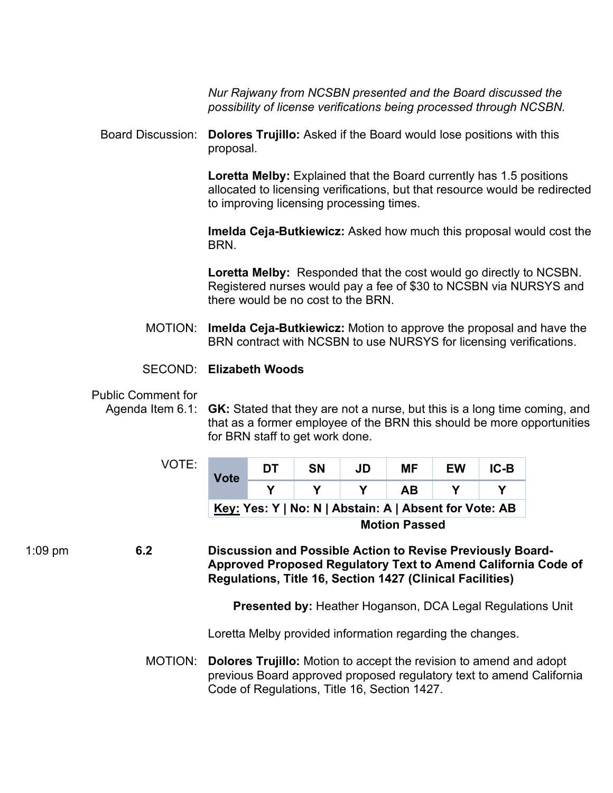*Nur Rajwany from NCSBN presented and the Board discussed the possibility of license verifications being processed through NCSBN.* 

Board Discussion: **Dolores Trujillo:** Asked if the Board would lose positions with this proposal.

> **Loretta Melby:** Explained that the Board currently has 1.5 positions allocated to licensing verifications, but that resource would be redirected to improving licensing processing times.

> **Imelda Ceja-Butkiewicz:** Asked how much this proposal would cost the BRN.

**Loretta Melby:** Responded that the cost would go directly to NCSBN. Registered nurses would pay a fee of \$30 to NCSBN via NURSYS and there would be no cost to the BRN.

 BRN contract with NCSBN to use NURSYS for licensing verifications. MOTION: **Imelda Ceja-Butkiewicz:** Motion to approve the proposal and have the

# SECOND: **Elizabeth Woods**

#### Public Comment for

Agenda Item 6.1: **GK:** Stated that they are not a nurse, but this is a long time coming, and that as a former employee of the BRN this should be more opportunities for BRN staff to get work done.

| VOTE: |                                                        | DT | <b>SN</b>                                                | JD | <b>MF</b> | EW | IC-B |  |  |  |
|-------|--------------------------------------------------------|----|----------------------------------------------------------|----|-----------|----|------|--|--|--|
|       | <b>Vote</b>                                            |    |                                                          |    | AB        |    |      |  |  |  |
|       | Key: Yes: Y   No: N   Abstain: A   Absent for Vote: AB |    |                                                          |    |           |    |      |  |  |  |
|       | <b>Motion Passed</b>                                   |    |                                                          |    |           |    |      |  |  |  |
| 6.2   |                                                        |    | Discussion and Possible Action to Revise Previously Boar |    |           |    |      |  |  |  |

1:09 pm **6.2 Discussion and Possible Action to Revise Previously Board-Approved Proposed Regulatory Text to Amend California Code of Regulations, Title 16, Section 1427 (Clinical Facilities)** 

**Presented by:** Heather Hoganson, DCA Legal Regulations Unit

Loretta Melby provided information regarding the changes.

 Code of Regulations, Title 16, Section 1427. MOTION: **Dolores Trujillo:** Motion to accept the revision to amend and adopt previous Board approved proposed regulatory text to amend California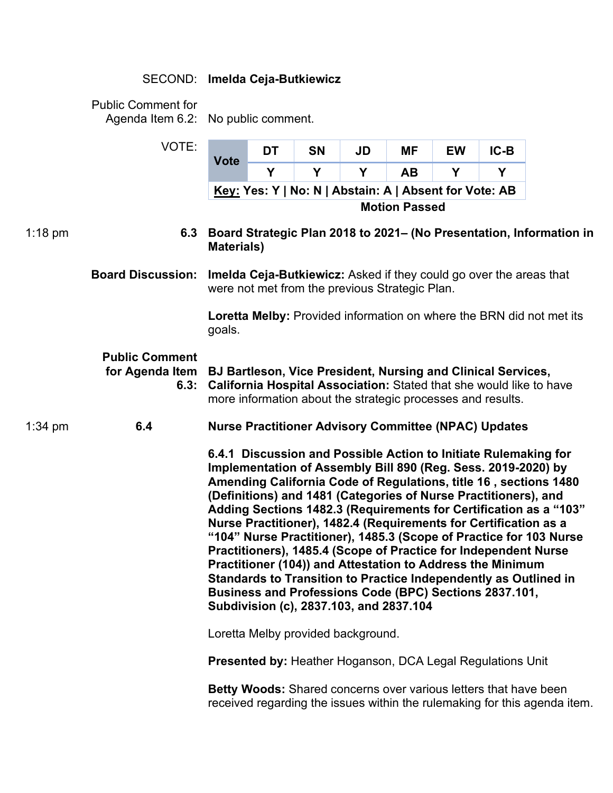# SECOND: **Imelda Ceja-Butkiewicz**

Public Comment for Agenda Item 6.2: No public comment.

|           | VOTE:                                            | <b>Vote</b>        | <b>DT</b> | <b>SN</b>                                              | JD | ΜF                   | EW | $IC-B$                                                                                                                                                                                                                                                                                                                                                                                                                                                                                                                                                                                                                                                                                                                                                |
|-----------|--------------------------------------------------|--------------------|-----------|--------------------------------------------------------|----|----------------------|----|-------------------------------------------------------------------------------------------------------------------------------------------------------------------------------------------------------------------------------------------------------------------------------------------------------------------------------------------------------------------------------------------------------------------------------------------------------------------------------------------------------------------------------------------------------------------------------------------------------------------------------------------------------------------------------------------------------------------------------------------------------|
|           |                                                  |                    | Y         | Y                                                      | Y  | <b>AB</b>            | Y  | Y                                                                                                                                                                                                                                                                                                                                                                                                                                                                                                                                                                                                                                                                                                                                                     |
|           |                                                  |                    |           | Key: Yes: Y   No: N   Abstain: A   Absent for Vote: AB |    |                      |    |                                                                                                                                                                                                                                                                                                                                                                                                                                                                                                                                                                                                                                                                                                                                                       |
|           |                                                  |                    |           |                                                        |    | <b>Motion Passed</b> |    |                                                                                                                                                                                                                                                                                                                                                                                                                                                                                                                                                                                                                                                                                                                                                       |
| $1:18$ pm |                                                  | <b>Materials</b> ) |           |                                                        |    |                      |    | 6.3 Board Strategic Plan 2018 to 2021– (No Presentation, Information in                                                                                                                                                                                                                                                                                                                                                                                                                                                                                                                                                                                                                                                                               |
|           | <b>Board Discussion:</b>                         |                    |           | were not met from the previous Strategic Plan.         |    |                      |    | <b>Imelda Ceja-Butkiewicz:</b> Asked if they could go over the areas that                                                                                                                                                                                                                                                                                                                                                                                                                                                                                                                                                                                                                                                                             |
|           |                                                  | goals.             |           |                                                        |    |                      |    | <b>Loretta Melby:</b> Provided information on where the BRN did not met its                                                                                                                                                                                                                                                                                                                                                                                                                                                                                                                                                                                                                                                                           |
|           | <b>Public Comment</b><br>for Agenda Item<br>6.3: |                    |           |                                                        |    |                      |    | BJ Bartleson, Vice President, Nursing and Clinical Services,<br>California Hospital Association: Stated that she would like to have<br>more information about the strategic processes and results.                                                                                                                                                                                                                                                                                                                                                                                                                                                                                                                                                    |
| $1:34$ pm | 6.4                                              |                    |           |                                                        |    |                      |    | <b>Nurse Practitioner Advisory Committee (NPAC) Updates</b>                                                                                                                                                                                                                                                                                                                                                                                                                                                                                                                                                                                                                                                                                           |
|           |                                                  |                    |           | Subdivision (c), 2837.103, and 2837.104                |    |                      |    | 6.4.1 Discussion and Possible Action to Initiate Rulemaking for<br>Implementation of Assembly Bill 890 (Reg. Sess. 2019-2020) by<br>Amending California Code of Regulations, title 16, sections 1480<br>(Definitions) and 1481 (Categories of Nurse Practitioners), and<br>Adding Sections 1482.3 (Requirements for Certification as a "103"<br>Nurse Practitioner), 1482.4 (Requirements for Certification as a<br>"104" Nurse Practitioner), 1485.3 (Scope of Practice for 103 Nurse<br>Practitioners), 1485.4 (Scope of Practice for Independent Nurse<br>Practitioner (104)) and Attestation to Address the Minimum<br>Standards to Transition to Practice Independently as Outlined in<br>Business and Professions Code (BPC) Sections 2837.101, |
|           |                                                  |                    |           | Loretta Melby provided background.                     |    |                      |    |                                                                                                                                                                                                                                                                                                                                                                                                                                                                                                                                                                                                                                                                                                                                                       |
|           |                                                  |                    |           |                                                        |    |                      |    | <b>Presented by: Heather Hoganson, DCA Legal Regulations Unit</b>                                                                                                                                                                                                                                                                                                                                                                                                                                                                                                                                                                                                                                                                                     |
|           |                                                  |                    |           |                                                        |    |                      |    | <b>Betty Woods:</b> Shared concerns over various letters that have been<br>received regarding the issues within the rulemaking for this agenda item.                                                                                                                                                                                                                                                                                                                                                                                                                                                                                                                                                                                                  |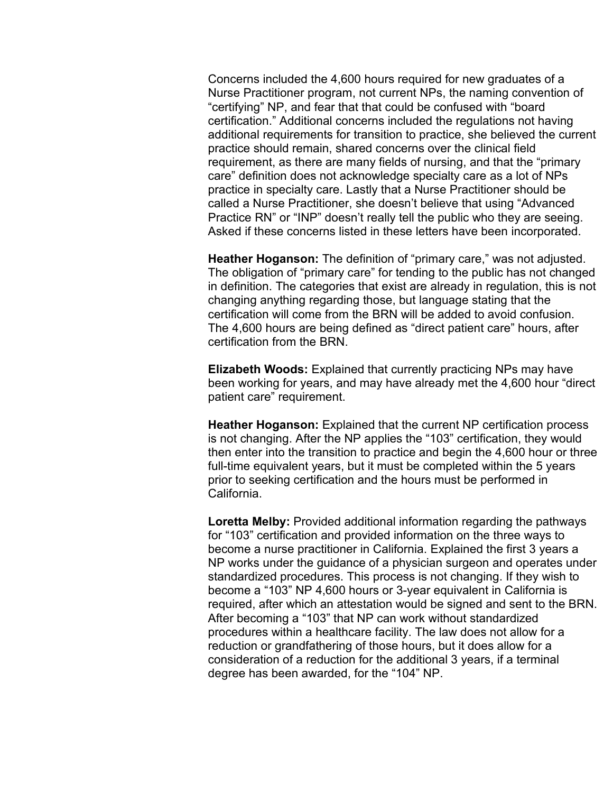Concerns included the 4,600 hours required for new graduates of a requirement, as there are many fields of nursing, and that the "primary Nurse Practitioner program, not current NPs, the naming convention of "certifying" NP, and fear that that could be confused with "board certification." Additional concerns included the regulations not having additional requirements for transition to practice, she believed the current practice should remain, shared concerns over the clinical field care" definition does not acknowledge specialty care as a lot of NPs practice in specialty care. Lastly that a Nurse Practitioner should be called a Nurse Practitioner, she doesn't believe that using "Advanced Practice RN" or "INP" doesn't really tell the public who they are seeing. Asked if these concerns listed in these letters have been incorporated.

 changing anything regarding those, but language stating that the **Heather Hoganson:** The definition of "primary care," was not adjusted. The obligation of "primary care" for tending to the public has not changed in definition. The categories that exist are already in regulation, this is not certification will come from the BRN will be added to avoid confusion. The 4,600 hours are being defined as "direct patient care" hours, after certification from the BRN.

 **Elizabeth Woods:** Explained that currently practicing NPs may have been working for years, and may have already met the 4,600 hour "direct patient care" requirement.

 then enter into the transition to practice and begin the 4,600 hour or three **Heather Hoganson:** Explained that the current NP certification process is not changing. After the NP applies the "103" certification, they would full-time equivalent years, but it must be completed within the 5 years prior to seeking certification and the hours must be performed in California.

 NP works under the guidance of a physician surgeon and operates under standardized procedures. This process is not changing. If they wish to reduction or grandfathering of those hours, but it does allow for a **Loretta Melby:** Provided additional information regarding the pathways for "103" certification and provided information on the three ways to become a nurse practitioner in California. Explained the first 3 years a become a "103" NP 4,600 hours or 3-year equivalent in California is required, after which an attestation would be signed and sent to the BRN. After becoming a "103" that NP can work without standardized procedures within a healthcare facility. The law does not allow for a consideration of a reduction for the additional 3 years, if a terminal degree has been awarded, for the "104" NP.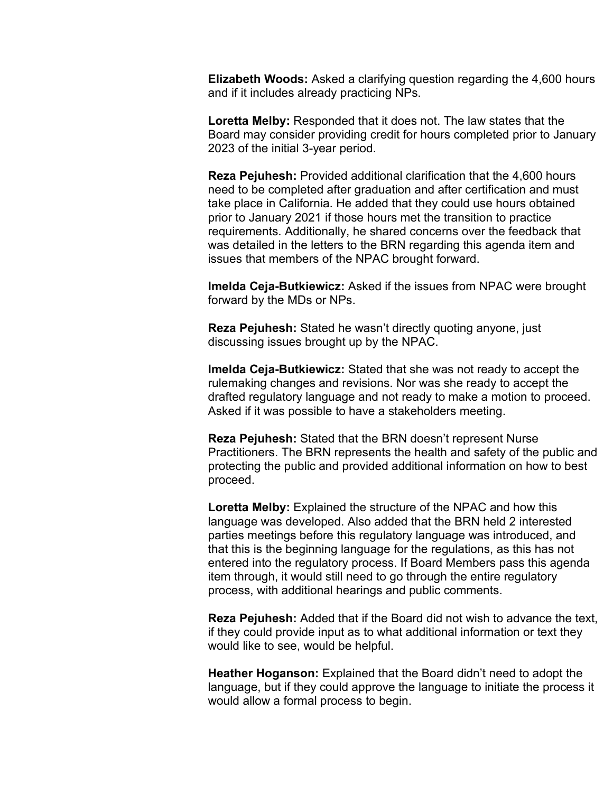**Elizabeth Woods:** Asked a clarifying question regarding the 4,600 hours and if it includes already practicing NPs.

**Loretta Melby:** Responded that it does not. The law states that the Board may consider providing credit for hours completed prior to January 2023 of the initial 3-year period.

 prior to January 2021 if those hours met the transition to practice **Reza Pejuhesh:** Provided additional clarification that the 4,600 hours need to be completed after graduation and after certification and must take place in California. He added that they could use hours obtained requirements. Additionally, he shared concerns over the feedback that was detailed in the letters to the BRN regarding this agenda item and issues that members of the NPAC brought forward.

**Imelda Ceja-Butkiewicz:** Asked if the issues from NPAC were brought forward by the MDs or NPs.

**Reza Pejuhesh:** Stated he wasn't directly quoting anyone, just discussing issues brought up by the NPAC.

 rulemaking changes and revisions. Nor was she ready to accept the  Asked if it was possible to have a stakeholders meeting. **Imelda Ceja-Butkiewicz:** Stated that she was not ready to accept the drafted regulatory language and not ready to make a motion to proceed.

 **Reza Pejuhesh:** Stated that the BRN doesn't represent Nurse protecting the public and provided additional information on how to best Practitioners. The BRN represents the health and safety of the public and proceed.

 entered into the regulatory process. If Board Members pass this agenda item through, it would still need to go through the entire regulatory **Loretta Melby:** Explained the structure of the NPAC and how this language was developed. Also added that the BRN held 2 interested parties meetings before this regulatory language was introduced, and that this is the beginning language for the regulations, as this has not process, with additional hearings and public comments.

**Reza Pejuhesh:** Added that if the Board did not wish to advance the text, if they could provide input as to what additional information or text they would like to see, would be helpful.

 would allow a formal process to begin. **Heather Hoganson:** Explained that the Board didn't need to adopt the language, but if they could approve the language to initiate the process it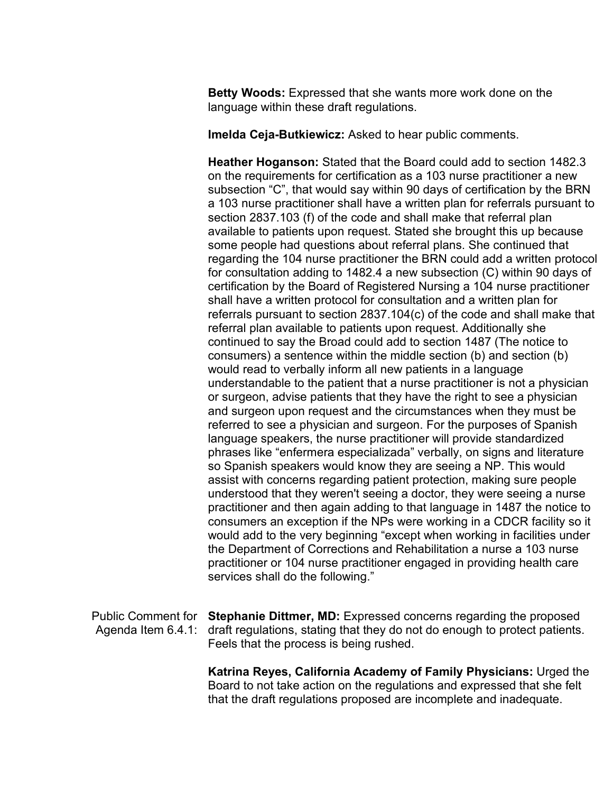**Betty Woods:** Expressed that she wants more work done on the language within these draft regulations.

**Imelda Ceja-Butkiewicz:** Asked to hear public comments.

 section 2837.103 (f) of the code and shall make that referral plan for consultation adding to 1482.4 a new subsection (C) within 90 days of referrals pursuant to section 2837.104(c) of the code and shall make that and surgeon upon request and the circumstances when they must be referred to see a physician and surgeon. For the purposes of Spanish language speakers, the nurse practitioner will provide standardized understood that they weren't seeing a doctor, they were seeing a nurse practitioner and then again adding to that language in 1487 the notice to consumers an exception if the NPs were working in a CDCR facility so it **Heather Hoganson:** Stated that the Board could add to section 1482.3 on the requirements for certification as a 103 nurse practitioner a new subsection "C", that would say within 90 days of certification by the BRN a 103 nurse practitioner shall have a written plan for referrals pursuant to available to patients upon request. Stated she brought this up because some people had questions about referral plans. She continued that regarding the 104 nurse practitioner the BRN could add a written protocol certification by the Board of Registered Nursing a 104 nurse practitioner shall have a written protocol for consultation and a written plan for referral plan available to patients upon request. Additionally she continued to say the Broad could add to section 1487 (The notice to consumers) a sentence within the middle section (b) and section (b) would read to verbally inform all new patients in a language understandable to the patient that a nurse practitioner is not a physician or surgeon, advise patients that they have the right to see a physician phrases like "enfermera especializada" verbally, on signs and literature so Spanish speakers would know they are seeing a NP. This would assist with concerns regarding patient protection, making sure people would add to the very beginning "except when working in facilities under the Department of Corrections and Rehabilitation a nurse a 103 nurse practitioner or 104 nurse practitioner engaged in providing health care services shall do the following."

Agenda Item 6.4.1: draft regulations, stating that they do not do enough to protect patients.  Feels that the process is being rushed. Public Comment for **Stephanie Dittmer, MD:** Expressed concerns regarding the proposed

> **Katrina Reyes, California Academy of Family Physicians:** Urged the Board to not take action on the regulations and expressed that she felt that the draft regulations proposed are incomplete and inadequate.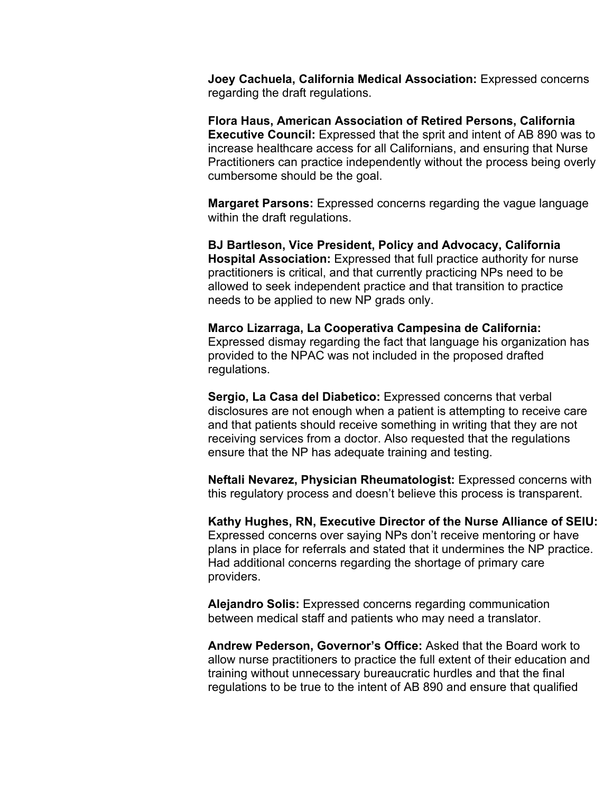**Joey Cachuela, California Medical Association:** Expressed concerns regarding the draft regulations.

 cumbersome should be the goal. **Flora Haus, American Association of Retired Persons, California Executive Council:** Expressed that the sprit and intent of AB 890 was to increase healthcare access for all Californians, and ensuring that Nurse Practitioners can practice independently without the process being overly

 within the draft regulations. **Margaret Parsons:** Expressed concerns regarding the vague language

**BJ Bartleson, Vice President, Policy and Advocacy, California Hospital Association:** Expressed that full practice authority for nurse practitioners is critical, and that currently practicing NPs need to be allowed to seek independent practice and that transition to practice needs to be applied to new NP grads only.

 Expressed dismay regarding the fact that language his organization has **Marco Lizarraga, La Cooperativa Campesina de California:** provided to the NPAC was not included in the proposed drafted regulations.

 **Sergio, La Casa del Diabetico:** Expressed concerns that verbal disclosures are not enough when a patient is attempting to receive care ensure that the NP has adequate training and testing. and that patients should receive something in writing that they are not receiving services from a doctor. Also requested that the regulations

**Neftali Nevarez, Physician Rheumatologist:** Expressed concerns with this regulatory process and doesn't believe this process is transparent.

**Kathy Hughes, RN, Executive Director of the Nurse Alliance of SEIU:**  Expressed concerns over saying NPs don't receive mentoring or have plans in place for referrals and stated that it undermines the NP practice. Had additional concerns regarding the shortage of primary care providers.

 between medical staff and patients who may need a translator. **Alejandro Solis:** Expressed concerns regarding communication

 training without unnecessary bureaucratic hurdles and that the final regulations to be true to the intent of AB 890 and ensure that qualified **Andrew Pederson, Governor's Office:** Asked that the Board work to allow nurse practitioners to practice the full extent of their education and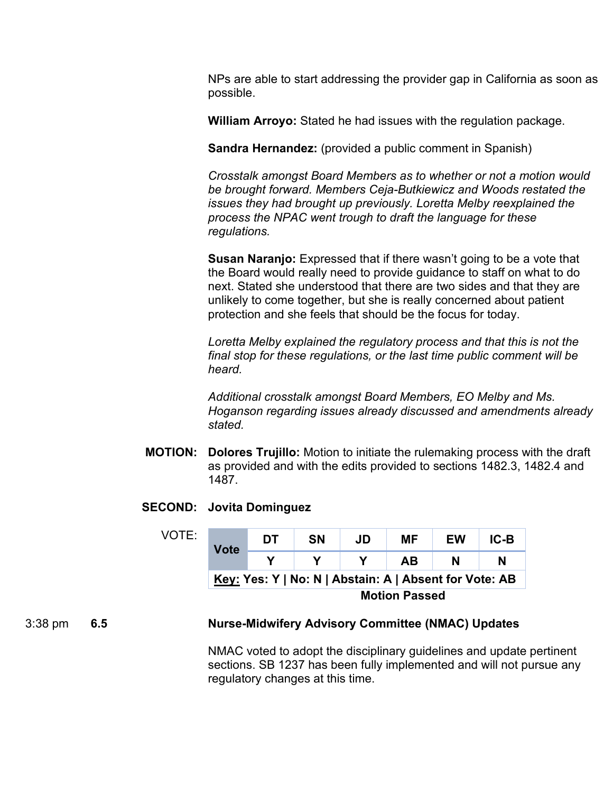NPs are able to start addressing the provider gap in California as soon as possible.

**William Arroyo:** Stated he had issues with the regulation package.

**Sandra Hernandez:** (provided a public comment in Spanish)

 *issues they had brought up previously. Loretta Melby reexplained the Crosstalk amongst Board Members as to whether or not a motion would be brought forward. Members Ceja-Butkiewicz and Woods restated the process the NPAC went trough to draft the language for these regulations.* 

**Susan Naranjo:** Expressed that if there wasn't going to be a vote that the Board would really need to provide guidance to staff on what to do next. Stated she understood that there are two sides and that they are unlikely to come together, but she is really concerned about patient protection and she feels that should be the focus for today.

*Loretta Melby explained the regulatory process and that this is not the final stop for these regulations, or the last time public comment will be heard.* 

*Additional crosstalk amongst Board Members, EO Melby and Ms. Hoganson regarding issues already discussed and amendments already stated.* 

 as provided and with the edits provided to sections 1482.3, 1482.4 and **MOTION: Dolores Trujillo:** Motion to initiate the rulemaking process with the draft 1487.

# **SECOND: Jovita Dominguez**

| VOTE: | <b>Vote</b>                                            | DT | <b>SN</b> | JD | MF | EW | $IC-B$ |  |  |  |  |
|-------|--------------------------------------------------------|----|-----------|----|----|----|--------|--|--|--|--|
|       |                                                        |    |           |    | AB | N  | N      |  |  |  |  |
|       | Key: Yes: Y   No: N   Abstain: A   Absent for Vote: AB |    |           |    |    |    |        |  |  |  |  |
|       | <b>Motion Passed</b>                                   |    |           |    |    |    |        |  |  |  |  |

# 3:38 pm **6.5 Nurse-Midwifery Advisory Committee (NMAC) Updates**

 sections. SB 1237 has been fully implemented and will not pursue any NMAC voted to adopt the disciplinary guidelines and update pertinent regulatory changes at this time.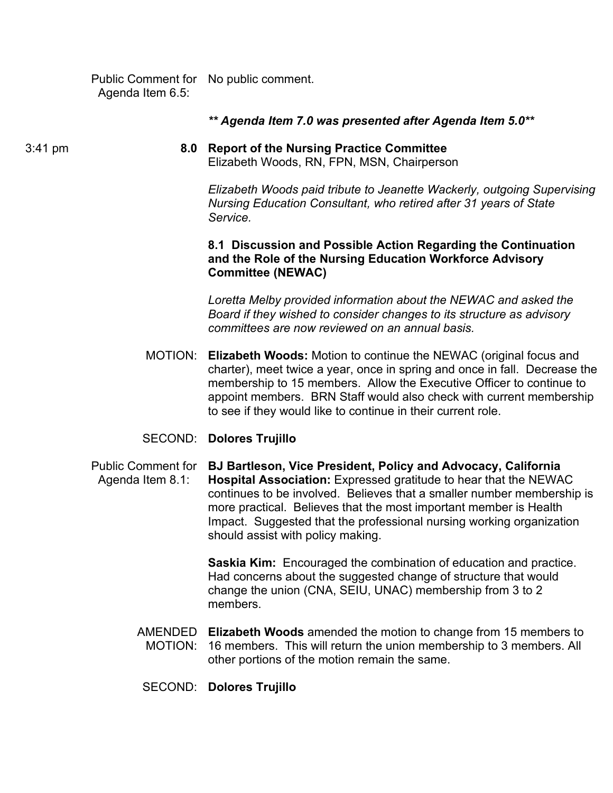Public Comment for No public comment. Agenda Item 6.5:

*\*\* Agenda Item 7.0 was presented after Agenda Item 5.0\*\** 

#### 3:41 pm **8.0 Report of the Nursing Practice Committee**  Elizabeth Woods, RN, FPN, MSN, Chairperson

 *Nursing Education Consultant, who retired after 31 years of State Elizabeth Woods paid tribute to Jeanette Wackerly, outgoing Supervising Service.* 

# **8.1 Discussion and Possible Action Regarding the Continuation and the Role of the Nursing Education Workforce Advisory Committee (NEWAC)**

*Loretta Melby provided information about the NEWAC and asked the Board if they wished to consider changes to its structure as advisory committees are now reviewed on an annual basis.* 

 appoint members. BRN Staff would also check with current membership MOTION: **Elizabeth Woods:** Motion to continue the NEWAC (original focus and charter), meet twice a year, once in spring and once in fall. Decrease the membership to 15 members. Allow the Executive Officer to continue to to see if they would like to continue in their current role.

# SECOND: **Dolores Trujillo**

 continues to be involved. Believes that a smaller number membership is more practical. Believes that the most important member is Health Public Comment for **BJ Bartleson, Vice President, Policy and Advocacy, California**  Agenda Item 8.1: **Hospital Association:** Expressed gratitude to hear that the NEWAC Impact. Suggested that the professional nursing working organization should assist with policy making.

> **Saskia Kim:** Encouraged the combination of education and practice. Had concerns about the suggested change of structure that would change the union (CNA, SEIU, UNAC) membership from 3 to 2 members.

- AMENDED **Elizabeth Woods** amended the motion to change from 15 members to MOTION: 16 members. This will return the union membership to 3 members. All other portions of the motion remain the same.
	- SECOND: **Dolores Trujillo**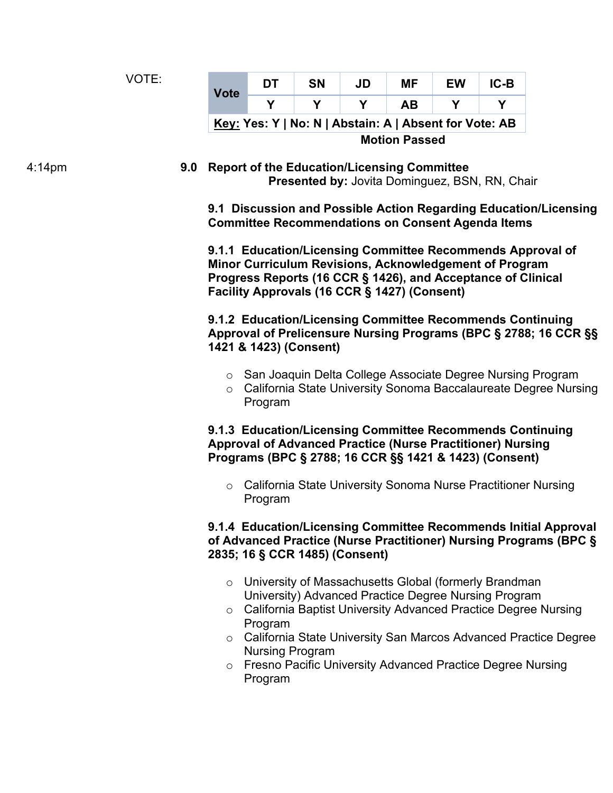VOTE:

| <b>Vote</b> | DТ | SΝ                                                     | JD | МF                   | EW | IC-B |
|-------------|----|--------------------------------------------------------|----|----------------------|----|------|
|             |    |                                                        |    | AB                   |    |      |
|             |    | Key: Yes: Y   No: N   Abstain: A   Absent for Vote: AB |    |                      |    |      |
|             |    |                                                        |    | <b>Motion Passed</b> |    |      |

 **Presented by:** Jovita Dominguez, BSN, RN, Chair 4:14pm **9.0 Report of the Education/Licensing Committee** 

> **9.1 Discussion and Possible Action Regarding Education/Licensing Committee Recommendations on Consent Agenda Items**

**9.1.1 Education/Licensing Committee Recommends Approval of Minor Curriculum Revisions, Acknowledgement of Program Progress Reports (16 CCR § 1426), and Acceptance of Clinical Facility Approvals (16 CCR § 1427) (Consent)** 

**9.1.2 Education/Licensing Committee Recommends Continuing Approval of Prelicensure Nursing Programs (BPC § 2788; 16 CCR §§ 1421 & 1423) (Consent)** 

- o San Joaquin Delta College Associate Degree Nursing Program
- o California State University Sonoma Baccalaureate Degree Nursing Program

 **Programs (BPC § 2788; 16 CCR §§ 1421 & 1423) (Consent) 9.1.3 Education/Licensing Committee Recommends Continuing Approval of Advanced Practice (Nurse Practitioner) Nursing** 

o California State University Sonoma Nurse Practitioner Nursing Program

#### **9.1.4 Education/Licensing Committee Recommends Initial Approval of Advanced Practice (Nurse Practitioner) Nursing Programs (BPC § 2835; 16 § CCR 1485) (Consent)**

- o University of Massachusetts Global (formerly Brandman University) Advanced Practice Degree Nursing Program
- o California Baptist University Advanced Practice Degree Nursing Program
- o California State University San Marcos Advanced Practice Degree Nursing Program
- o Fresno Pacific University Advanced Practice Degree Nursing Program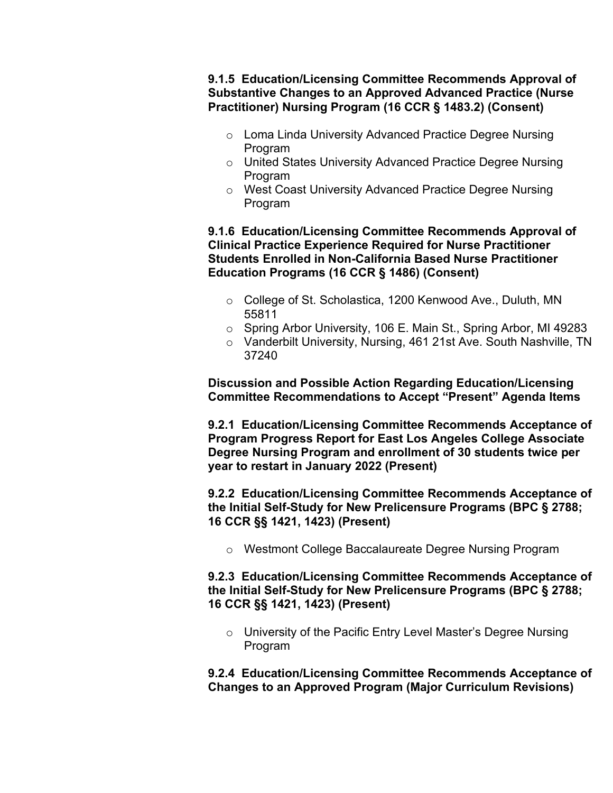# **9.1.5 Education/Licensing Committee Recommends Approval of Substantive Changes to an Approved Advanced Practice (Nurse Practitioner) Nursing Program (16 CCR § 1483.2) (Consent)**

- o Loma Linda University Advanced Practice Degree Nursing **Program**
- o United States University Advanced Practice Degree Nursing Program
- o West Coast University Advanced Practice Degree Nursing Program

**9.1.6 Education/Licensing Committee Recommends Approval of Clinical Practice Experience Required for Nurse Practitioner Students Enrolled in Non-California Based Nurse Practitioner Education Programs (16 CCR § 1486) (Consent)** 

- o College of St. Scholastica, 1200 Kenwood Ave., Duluth, MN 55811
- o Spring Arbor University, 106 E. Main St., Spring Arbor, MI 49283
- o Vanderbilt University, Nursing, 461 21st Ave. South Nashville, TN 37240

**Discussion and Possible Action Regarding Education/Licensing Committee Recommendations to Accept "Present" Agenda Items** 

**9.2.1 Education/Licensing Committee Recommends Acceptance of Program Progress Report for East Los Angeles College Associate Degree Nursing Program and enrollment of 30 students twice per year to restart in January 2022 (Present)** 

**9.2.2 Education/Licensing Committee Recommends Acceptance of the Initial Self-Study for New Prelicensure Programs (BPC § 2788; 16 CCR §§ 1421, 1423) (Present)** 

o Westmont College Baccalaureate Degree Nursing Program

**9.2.3 Education/Licensing Committee Recommends Acceptance of the Initial Self-Study for New Prelicensure Programs (BPC § 2788; 16 CCR §§ 1421, 1423) (Present)** 

o University of the Pacific Entry Level Master's Degree Nursing Program

**9.2.4 Education/Licensing Committee Recommends Acceptance of Changes to an Approved Program (Major Curriculum Revisions)**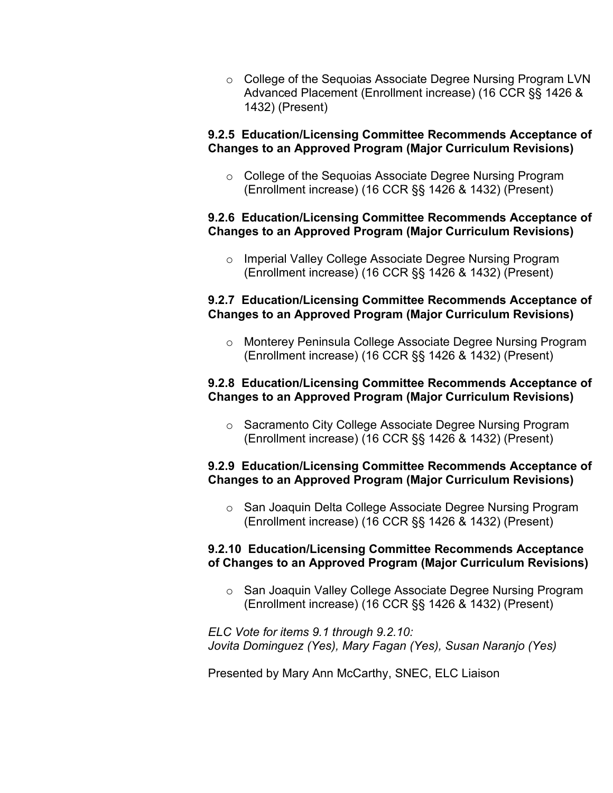$\circ$  College of the Sequoias Associate Degree Nursing Program LVN Advanced Placement (Enrollment increase) (16 CCR §§ 1426 & 1432) (Present)

# **9.2.5 Education/Licensing Committee Recommends Acceptance of Changes to an Approved Program (Major Curriculum Revisions)**

o College of the Sequoias Associate Degree Nursing Program (Enrollment increase) (16 CCR §§ 1426 & 1432) (Present)

## **9.2.6 Education/Licensing Committee Recommends Acceptance of Changes to an Approved Program (Major Curriculum Revisions)**

o Imperial Valley College Associate Degree Nursing Program (Enrollment increase) (16 CCR §§ 1426 & 1432) (Present)

# **9.2.7 Education/Licensing Committee Recommends Acceptance of Changes to an Approved Program (Major Curriculum Revisions)**

o Monterey Peninsula College Associate Degree Nursing Program (Enrollment increase) (16 CCR §§ 1426 & 1432) (Present)

# **9.2.8 Education/Licensing Committee Recommends Acceptance of Changes to an Approved Program (Major Curriculum Revisions)**

o Sacramento City College Associate Degree Nursing Program (Enrollment increase) (16 CCR §§ 1426 & 1432) (Present)

# **9.2.9 Education/Licensing Committee Recommends Acceptance of Changes to an Approved Program (Major Curriculum Revisions)**

o San Joaquin Delta College Associate Degree Nursing Program (Enrollment increase) (16 CCR §§ 1426 & 1432) (Present)

# **9.2.10 Education/Licensing Committee Recommends Acceptance of Changes to an Approved Program (Major Curriculum Revisions)**

o San Joaquin Valley College Associate Degree Nursing Program (Enrollment increase) (16 CCR §§ 1426 & 1432) (Present)

*ELC Vote for items 9.1 through 9.2.10: Jovita Dominguez (Yes), Mary Fagan (Yes), Susan Naranjo (Yes)* 

Presented by Mary Ann McCarthy, SNEC, ELC Liaison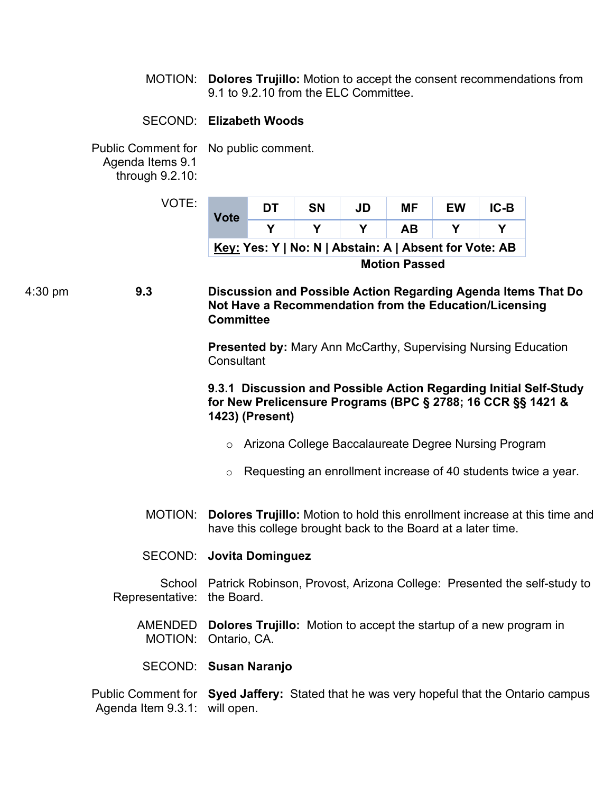MOTION: **Dolores Trujillo:** Motion to accept the consent recommendations from 9.1 to 9.2.10 from the FLC Committee.

#### SECOND: **Elizabeth Woods**

Public Comment for No public comment. Agenda Items 9.1 through 9.2.10:

| VOTE: | <b>Vote</b>          | DT                                                     | <b>SN</b> | JD | МF | EW | $IC-B$ |  |  |  |  |  |
|-------|----------------------|--------------------------------------------------------|-----------|----|----|----|--------|--|--|--|--|--|
|       |                      |                                                        |           |    | AВ |    |        |  |  |  |  |  |
|       |                      | Key: Yes: Y   No: N   Abstain: A   Absent for Vote: AB |           |    |    |    |        |  |  |  |  |  |
|       | <b>Motion Passed</b> |                                                        |           |    |    |    |        |  |  |  |  |  |

# 4:30 pm **9.3 Discussion and Possible Action Regarding Agenda Items That Do Not Have a Recommendation from the Education/Licensing Committee**

**Presented by:** Mary Ann McCarthy, Supervising Nursing Education **Consultant** 

# **9.3.1 Discussion and Possible Action Regarding Initial Self-Study for New Prelicensure Programs (BPC § 2788; 16 CCR §§ 1421 & 1423) (Present)**

- o Arizona College Baccalaureate Degree Nursing Program
- $\circ$  Requesting an enrollment increase of 40 students twice a year.
- have this college brought back to the Board at a later time. SECOND: **Jovita Dominguez**  MOTION: **Dolores Trujillo:** Motion to hold this enrollment increase at this time and
- 

 School Patrick Robinson, Provost, Arizona College: Presented the self-study to Representative: the Board.

 AMENDED **Dolores Trujillo:** Motion to accept the startup of a new program in MOTION: Ontario, CA.

SECOND: **Susan Naranjo** 

 Public Comment for **Syed Jaffery:** Stated that he was very hopeful that the Ontario campus Agenda Item 9.3.1: will open.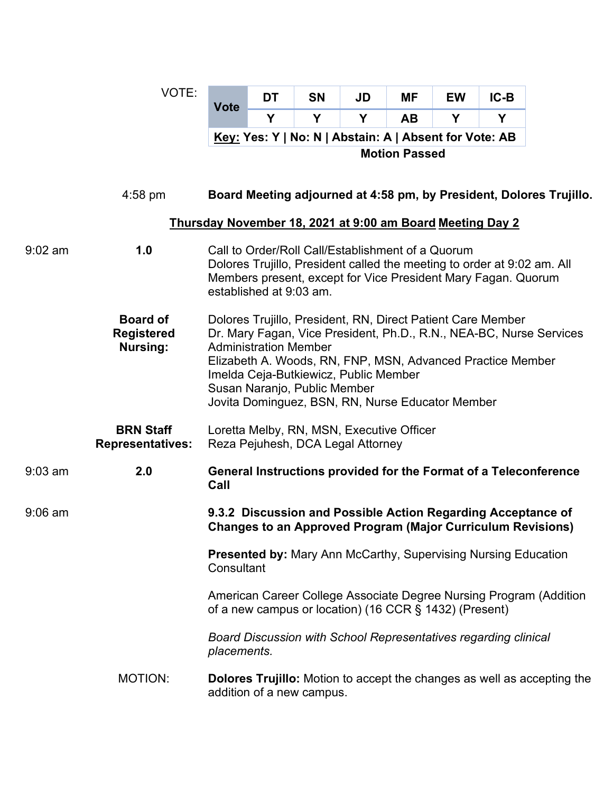|           | VOTE:                   |                                                                                            |    |                                                           |    |                      |           |                                                                                                                                    |  |  |  |
|-----------|-------------------------|--------------------------------------------------------------------------------------------|----|-----------------------------------------------------------|----|----------------------|-----------|------------------------------------------------------------------------------------------------------------------------------------|--|--|--|
|           |                         | <b>Vote</b>                                                                                | DT | <b>SN</b>                                                 | JD | MF                   | <b>EW</b> | $IC-B$                                                                                                                             |  |  |  |
|           |                         |                                                                                            | Y  | Y                                                         | Y  | <b>AB</b>            | Y         | Y                                                                                                                                  |  |  |  |
|           |                         |                                                                                            |    | Key: Yes: Y   No: N   Abstain: A   Absent for Vote: AB    |    | <b>Motion Passed</b> |           |                                                                                                                                    |  |  |  |
|           |                         |                                                                                            |    |                                                           |    |                      |           |                                                                                                                                    |  |  |  |
|           | $4:58$ pm               |                                                                                            |    |                                                           |    |                      |           | Board Meeting adjourned at 4:58 pm, by President, Dolores Trujillo.                                                                |  |  |  |
|           |                         |                                                                                            |    | Thursday November 18, 2021 at 9:00 am Board Meeting Day 2 |    |                      |           |                                                                                                                                    |  |  |  |
| $9:02$ am | 1.0                     |                                                                                            |    | Call to Order/Roll Call/Establishment of a Quorum         |    |                      |           |                                                                                                                                    |  |  |  |
|           |                         |                                                                                            |    |                                                           |    |                      |           | Dolores Trujillo, President called the meeting to order at 9:02 am. All                                                            |  |  |  |
|           |                         | Members present, except for Vice President Mary Fagan. Quorum<br>established at 9:03 am.   |    |                                                           |    |                      |           |                                                                                                                                    |  |  |  |
|           | <b>Board of</b>         |                                                                                            |    |                                                           |    |                      |           | Dolores Trujillo, President, RN, Direct Patient Care Member                                                                        |  |  |  |
|           | <b>Registered</b>       |                                                                                            |    |                                                           |    |                      |           | Dr. Mary Fagan, Vice President, Ph.D., R.N., NEA-BC, Nurse Services                                                                |  |  |  |
|           | <b>Nursing:</b>         | <b>Administration Member</b><br>Elizabeth A. Woods, RN, FNP, MSN, Advanced Practice Member |    |                                                           |    |                      |           |                                                                                                                                    |  |  |  |
|           |                         | Imelda Ceja-Butkiewicz, Public Member<br>Susan Naranjo, Public Member                      |    |                                                           |    |                      |           |                                                                                                                                    |  |  |  |
|           |                         |                                                                                            |    | Jovita Dominguez, BSN, RN, Nurse Educator Member          |    |                      |           |                                                                                                                                    |  |  |  |
|           | <b>BRN Staff</b>        | Loretta Melby, RN, MSN, Executive Officer                                                  |    |                                                           |    |                      |           |                                                                                                                                    |  |  |  |
|           | <b>Representatives:</b> |                                                                                            |    | Reza Pejuhesh, DCA Legal Attorney                         |    |                      |           |                                                                                                                                    |  |  |  |
| $9:03$ am | 2.0                     | Call                                                                                       |    |                                                           |    |                      |           | General Instructions provided for the Format of a Teleconference                                                                   |  |  |  |
| $9:06$ am |                         |                                                                                            |    |                                                           |    |                      |           | 9.3.2 Discussion and Possible Action Regarding Acceptance of<br><b>Changes to an Approved Program (Major Curriculum Revisions)</b> |  |  |  |
|           |                         | Consultant                                                                                 |    |                                                           |    |                      |           | <b>Presented by: Mary Ann McCarthy, Supervising Nursing Education</b>                                                              |  |  |  |
|           |                         |                                                                                            |    | of a new campus or location) (16 CCR § 1432) (Present)    |    |                      |           | American Career College Associate Degree Nursing Program (Addition                                                                 |  |  |  |
|           |                         | placements.                                                                                |    |                                                           |    |                      |           | Board Discussion with School Representatives regarding clinical                                                                    |  |  |  |
|           | MOTION:                 |                                                                                            |    | addition of a new campus.                                 |    |                      |           | <b>Dolores Trujillo:</b> Motion to accept the changes as well as accepting the                                                     |  |  |  |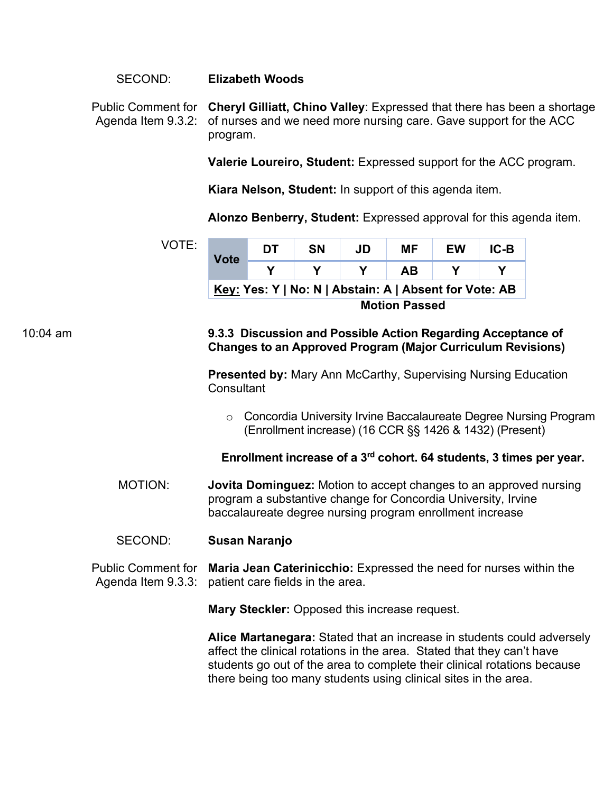# SECOND: **Elizabeth Woods**

 Agenda Item 9.3.2: of nurses and we need more nursing care. Gave support for the ACC Public Comment for **Cheryl Gilliatt, Chino Valley**: Expressed that there has been a shortage program.

**Valerie Loureiro, Student:** Expressed support for the ACC program.

**Kiara Nelson, Student:** In support of this agenda item.

**Alonzo Benberry, Student:** Expressed approval for this agenda item.

|          | VOTE:                                           | <b>Vote</b>                                                                         | <b>DT</b>                                                                                                                   | <b>SN</b>                                              | <b>JD</b> | <b>MF</b>            | <b>EW</b> | $IC-B$                                                                                                                                    |                                                                                                                                                    |  |  |  |  |
|----------|-------------------------------------------------|-------------------------------------------------------------------------------------|-----------------------------------------------------------------------------------------------------------------------------|--------------------------------------------------------|-----------|----------------------|-----------|-------------------------------------------------------------------------------------------------------------------------------------------|----------------------------------------------------------------------------------------------------------------------------------------------------|--|--|--|--|
|          |                                                 |                                                                                     | Y                                                                                                                           | Y                                                      | Y         | <b>AB</b>            | Y         | Y                                                                                                                                         |                                                                                                                                                    |  |  |  |  |
|          |                                                 |                                                                                     |                                                                                                                             | Key: Yes: Y   No: N   Abstain: A   Absent for Vote: AB |           |                      |           |                                                                                                                                           |                                                                                                                                                    |  |  |  |  |
|          |                                                 |                                                                                     |                                                                                                                             |                                                        |           | <b>Motion Passed</b> |           |                                                                                                                                           |                                                                                                                                                    |  |  |  |  |
| 10:04 am |                                                 |                                                                                     |                                                                                                                             |                                                        |           |                      |           | 9.3.3 Discussion and Possible Action Regarding Acceptance of<br><b>Changes to an Approved Program (Major Curriculum Revisions)</b>        |                                                                                                                                                    |  |  |  |  |
|          |                                                 | <b>Presented by: Mary Ann McCarthy, Supervising Nursing Education</b><br>Consultant |                                                                                                                             |                                                        |           |                      |           |                                                                                                                                           |                                                                                                                                                    |  |  |  |  |
|          |                                                 | $\circ$                                                                             | Concordia University Irvine Baccalaureate Degree Nursing Program<br>(Enrollment increase) (16 CCR §§ 1426 & 1432) (Present) |                                                        |           |                      |           |                                                                                                                                           |                                                                                                                                                    |  |  |  |  |
|          |                                                 |                                                                                     |                                                                                                                             |                                                        |           |                      |           |                                                                                                                                           | Enrollment increase of a 3 <sup>rd</sup> cohort. 64 students, 3 times per year.                                                                    |  |  |  |  |
|          | <b>MOTION:</b>                                  |                                                                                     |                                                                                                                             |                                                        |           |                      |           | program a substantive change for Concordia University, Irvine<br>baccalaureate degree nursing program enrollment increase                 | <b>Jovita Dominguez:</b> Motion to accept changes to an approved nursing                                                                           |  |  |  |  |
|          | <b>SECOND:</b>                                  |                                                                                     | <b>Susan Naranjo</b>                                                                                                        |                                                        |           |                      |           |                                                                                                                                           |                                                                                                                                                    |  |  |  |  |
|          | <b>Public Comment for</b><br>Agenda Item 9.3.3: |                                                                                     |                                                                                                                             | patient care fields in the area.                       |           |                      |           |                                                                                                                                           | Maria Jean Caterinicchio: Expressed the need for nurses within the                                                                                 |  |  |  |  |
|          |                                                 |                                                                                     |                                                                                                                             | <b>Mary Steckler:</b> Opposed this increase request.   |           |                      |           |                                                                                                                                           |                                                                                                                                                    |  |  |  |  |
|          |                                                 |                                                                                     |                                                                                                                             |                                                        |           |                      |           | affect the clinical rotations in the area. Stated that they can't have<br>there being too many students using clinical sites in the area. | Alice Martanegara: Stated that an increase in students could adversely<br>students go out of the area to complete their clinical rotations because |  |  |  |  |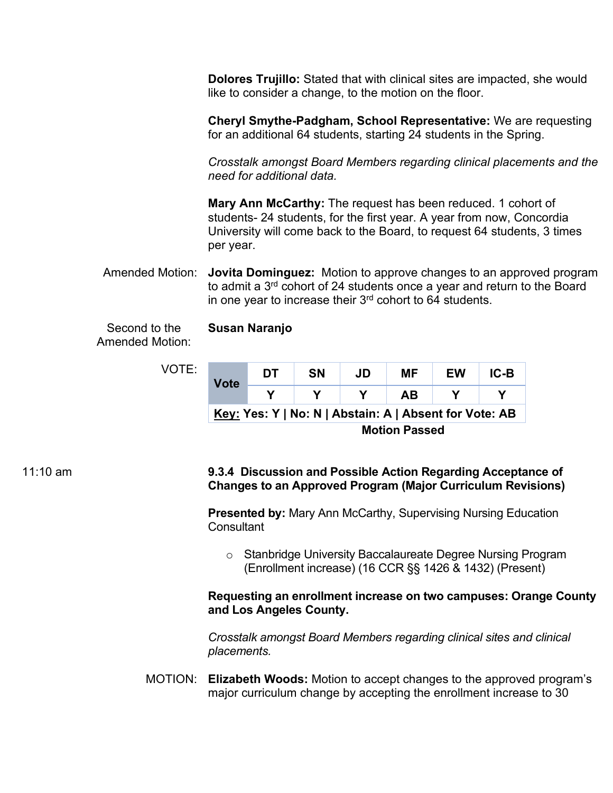**Dolores Trujillo:** Stated that with clinical sites are impacted, she would like to consider a change, to the motion on the floor.

**Cheryl Smythe-Padgham, School Representative:** We are requesting for an additional 64 students, starting 24 students in the Spring.

*Crosstalk amongst Board Members regarding clinical placements and the need for additional data.* 

**Mary Ann McCarthy:** The request has been reduced. 1 cohort of students- 24 students, for the first year. A year from now, Concordia University will come back to the Board, to request 64 students, 3 times per year.

 Amended Motion: **Jovita Dominguez:** Motion to approve changes to an approved program to admit a 3<sup>rd</sup> cohort of 24 students once a year and return to the Board in one year to increase their  $3<sup>rd</sup>$  cohort to 64 students.

Second to the **Susan Naranjo**  Amended Motion:

VOTE:

| <b>Vote</b> | DT | SΝ                                                     | JD | ΜF                   | EW | IC-B |
|-------------|----|--------------------------------------------------------|----|----------------------|----|------|
|             |    |                                                        |    | AB                   |    |      |
|             |    | Key: Yes: Y   No: N   Abstain: A   Absent for Vote: AB |    |                      |    |      |
|             |    |                                                        |    | <b>Motion Passed</b> |    |      |

# 11:10 am **9.3.4 Discussion and Possible Action Regarding Acceptance of Changes to an Approved Program (Major Curriculum Revisions)**

 Consultant **Presented by:** Mary Ann McCarthy, Supervising Nursing Education

 (Enrollment increase) (16 CCR §§ 1426 & 1432) (Present) o Stanbridge University Baccalaureate Degree Nursing Program

# **Requesting an enrollment increase on two campuses: Orange County and Los Angeles County.**

 *Crosstalk amongst Board Members regarding clinical sites and clinical placements.* 

MOTION: **Elizabeth Woods:** Motion to accept changes to the approved program's major curriculum change by accepting the enrollment increase to 30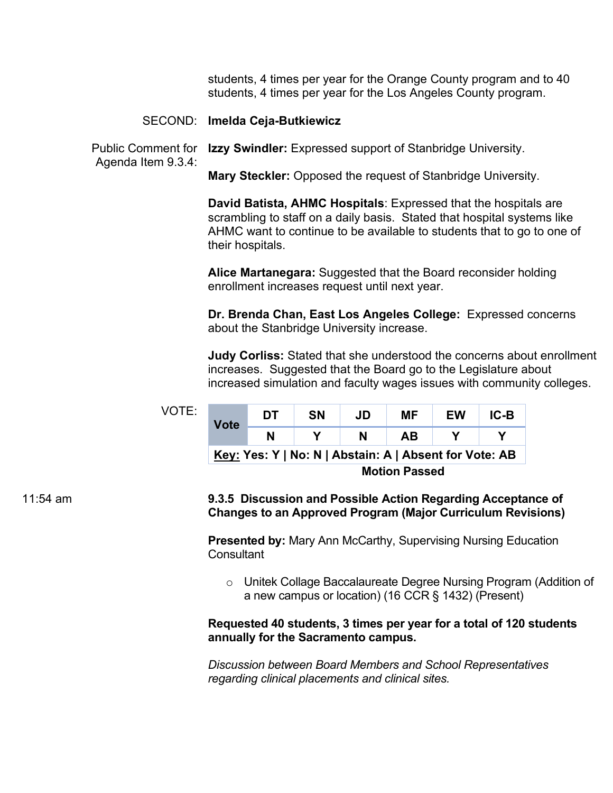students, 4 times per year for the Orange County program and to 40 students, 4 times per year for the Los Angeles County program.

#### SECOND: **Imelda Ceja-Butkiewicz**

Public Comment for **Izzy Swindler:** Expressed support of Stanbridge University.

Agenda Item 9.3.4:

**Mary Steckler:** Opposed the request of Stanbridge University.

 **David Batista, AHMC Hospitals**: Expressed that the hospitals are scrambling to staff on a daily basis. Stated that hospital systems like AHMC want to continue to be available to students that to go to one of their hospitals.

**Alice Martanegara:** Suggested that the Board reconsider holding enrollment increases request until next year.

 **Dr. Brenda Chan, East Los Angeles College:** Expressed concerns about the Stanbridge University increase.

 increases. Suggested that the Board go to the Legislature about **Judy Corliss:** Stated that she understood the concerns about enrollment increased simulation and faculty wages issues with community colleges.

| VOTE: | <b>Vote</b>          | DT                                                     | <b>SN</b> | JD | МF | EW | IC-B |  |  |  |  |  |
|-------|----------------------|--------------------------------------------------------|-----------|----|----|----|------|--|--|--|--|--|
|       |                      | N                                                      |           | N  | AВ |    |      |  |  |  |  |  |
|       |                      | Key: Yes: Y   No: N   Abstain: A   Absent for Vote: AB |           |    |    |    |      |  |  |  |  |  |
|       | <b>Motion Passed</b> |                                                        |           |    |    |    |      |  |  |  |  |  |

11:54 am **9.3.5 Discussion and Possible Action Regarding Acceptance of Changes to an Approved Program (Major Curriculum Revisions)** 

> Consultant **Presented by:** Mary Ann McCarthy, Supervising Nursing Education

o Unitek Collage Baccalaureate Degree Nursing Program (Addition of a new campus or location) (16 CCR § 1432) (Present)

#### **Requested 40 students, 3 times per year for a total of 120 students annually for the Sacramento campus.**

 *Discussion between Board Members and School Representatives regarding clinical placements and clinical sites.*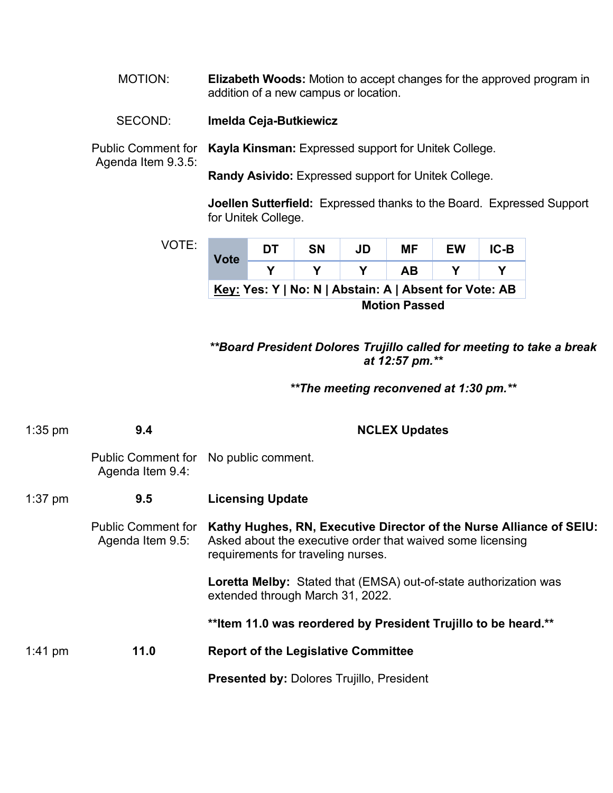MOTION: **Elizabeth Woods:** Motion to accept changes for the approved program in addition of a new campus or location.

## SECOND: **Imelda Ceja-Butkiewicz**

Public Comment for **Kayla Kinsman:** Expressed support for Unitek College. Agenda Item 9.3.5:

 **Randy Asivido:** Expressed support for Unitek College.

 **Joellen Sutterfield:** Expressed thanks to the Board. Expressed Support for Unitek College.

| VOTE: | <b>Vote</b>                                            | DT | <b>SN</b> | JD | ΜF | EW | IC-B |  |  |
|-------|--------------------------------------------------------|----|-----------|----|----|----|------|--|--|
|       |                                                        |    |           |    | AВ |    |      |  |  |
|       | Key: Yes: Y   No: N   Abstain: A   Absent for Vote: AB |    |           |    |    |    |      |  |  |
|       | <b>Motion Passed</b>                                   |    |           |    |    |    |      |  |  |

*\*\*Board President Dolores Trujillo called for meeting to take a break at 12:57 pm.\*\** 

*\*\*The meeting reconvened at 1:30 pm.\*\** 

| $1:35$ pm | 9.4                                           | <b>NCLEX Updates</b>                                                                                                                                                    |
|-----------|-----------------------------------------------|-------------------------------------------------------------------------------------------------------------------------------------------------------------------------|
|           | Agenda Item 9.4:                              | Public Comment for No public comment.                                                                                                                                   |
| $1:37$ pm | 9.5                                           | <b>Licensing Update</b>                                                                                                                                                 |
|           | <b>Public Comment for</b><br>Agenda Item 9.5: | Kathy Hughes, RN, Executive Director of the Nurse Alliance of SEIU:<br>Asked about the executive order that waived some licensing<br>requirements for traveling nurses. |
|           |                                               | Loretta Melby: Stated that (EMSA) out-of-state authorization was<br>extended through March 31, 2022.                                                                    |
|           |                                               | **Item 11.0 was reordered by President Trujillo to be heard.**                                                                                                          |
| 1:41 pm   | 11.0                                          | <b>Report of the Legislative Committee</b>                                                                                                                              |
|           |                                               | <b>Presented by: Dolores Trujillo, President</b>                                                                                                                        |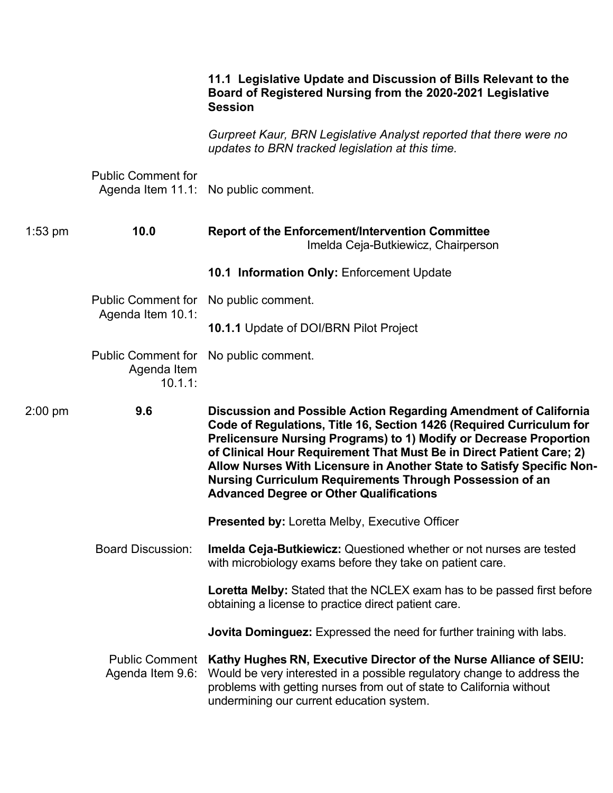|           |                                                     | 11.1 Legislative Update and Discussion of Bills Relevant to the<br>Board of Registered Nursing from the 2020-2021 Legislative<br><b>Session</b>                                                                                                                                                                                                                                                                                                                                      |
|-----------|-----------------------------------------------------|--------------------------------------------------------------------------------------------------------------------------------------------------------------------------------------------------------------------------------------------------------------------------------------------------------------------------------------------------------------------------------------------------------------------------------------------------------------------------------------|
|           |                                                     | Gurpreet Kaur, BRN Legislative Analyst reported that there were no<br>updates to BRN tracked legislation at this time.                                                                                                                                                                                                                                                                                                                                                               |
|           | <b>Public Comment for</b><br>Agenda Item 11.1:      | No public comment.                                                                                                                                                                                                                                                                                                                                                                                                                                                                   |
| $1:53$ pm | 10.0                                                | <b>Report of the Enforcement/Intervention Committee</b><br>Imelda Ceja-Butkiewicz, Chairperson                                                                                                                                                                                                                                                                                                                                                                                       |
|           |                                                     | 10.1 Information Only: Enforcement Update                                                                                                                                                                                                                                                                                                                                                                                                                                            |
|           | <b>Public Comment for</b>                           | No public comment.                                                                                                                                                                                                                                                                                                                                                                                                                                                                   |
|           | Agenda Item 10.1:                                   | <b>10.1.1 Update of DOI/BRN Pilot Project</b>                                                                                                                                                                                                                                                                                                                                                                                                                                        |
|           | <b>Public Comment for</b><br>Agenda Item<br>10.1.1: | No public comment.                                                                                                                                                                                                                                                                                                                                                                                                                                                                   |
| 2:00 pm   | 9.6                                                 | Discussion and Possible Action Regarding Amendment of California<br>Code of Regulations, Title 16, Section 1426 (Required Curriculum for<br>Prelicensure Nursing Programs) to 1) Modify or Decrease Proportion<br>of Clinical Hour Requirement That Must Be in Direct Patient Care; 2)<br>Allow Nurses With Licensure in Another State to Satisfy Specific Non-<br><b>Nursing Curriculum Requirements Through Possession of an</b><br><b>Advanced Degree or Other Qualifications</b> |
|           |                                                     | Presented by: Loretta Melby, Executive Officer                                                                                                                                                                                                                                                                                                                                                                                                                                       |
|           | <b>Board Discussion:</b>                            | <b>Imelda Ceja-Butkiewicz:</b> Questioned whether or not nurses are tested<br>with microbiology exams before they take on patient care.                                                                                                                                                                                                                                                                                                                                              |
|           |                                                     | <b>Loretta Melby:</b> Stated that the NCLEX exam has to be passed first before<br>obtaining a license to practice direct patient care.                                                                                                                                                                                                                                                                                                                                               |
|           |                                                     | <b>Jovita Dominguez:</b> Expressed the need for further training with labs.                                                                                                                                                                                                                                                                                                                                                                                                          |
|           | <b>Public Comment</b><br>Agenda Item 9.6:           | Kathy Hughes RN, Executive Director of the Nurse Alliance of SEIU:<br>Would be very interested in a possible regulatory change to address the<br>problems with getting nurses from out of state to California without<br>undermining our current education system.                                                                                                                                                                                                                   |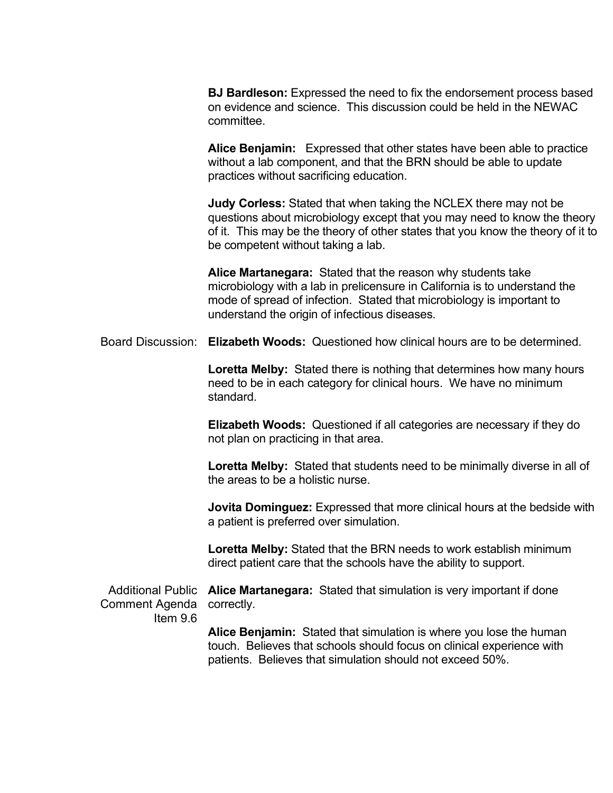**BJ Bardleson:** Expressed the need to fix the endorsement process based on evidence and science. This discussion could be held in the NEWAC committee.

 **Alice Benjamin:** Expressed that other states have been able to practice practices without sacrificing education. without a lab component, and that the BRN should be able to update

 questions about microbiology except that you may need to know the theory of it. This may be the theory of other states that you know the theory of it to **Judy Corless:** Stated that when taking the NCLEX there may not be be competent without taking a lab.

 **Alice Martanegara:** Stated that the reason why students take microbiology with a lab in prelicensure in California is to understand the mode of spread of infection. Stated that microbiology is important to understand the origin of infectious diseases.

Board Discussion: **Elizabeth Woods:** Questioned how clinical hours are to be determined.

 **Loretta Melby:** Stated there is nothing that determines how many hours need to be in each category for clinical hours. We have no minimum standard.

 **Elizabeth Woods:** Questioned if all categories are necessary if they do not plan on practicing in that area.

 **Loretta Melby:** Stated that students need to be minimally diverse in all of the areas to be a holistic nurse.

 a patient is preferred over simulation. **Jovita Dominguez:** Expressed that more clinical hours at the bedside with

 **Loretta Melby:** Stated that the BRN needs to work establish minimum direct patient care that the schools have the ability to support.

 Additional Public **Alice Martanegara:** Stated that simulation is very important if done Comment Agenda correctly.

Item 9.6

 **Alice Benjamin:** Stated that simulation is where you lose the human touch. Believes that schools should focus on clinical experience with patients. Believes that simulation should not exceed 50%.